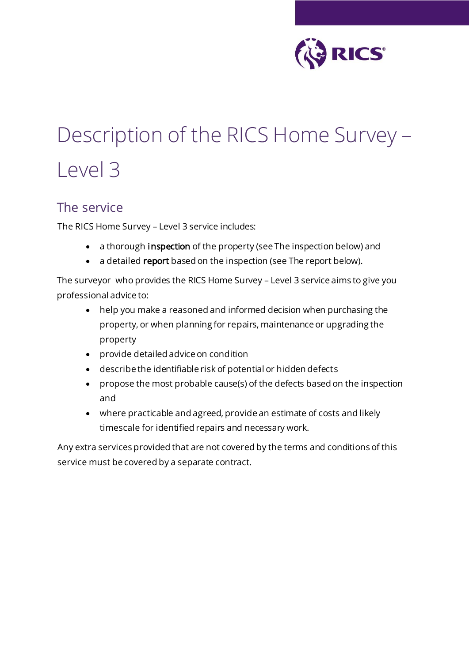

# Description of the RICS Home Survey – Level 3

#### The service

The RICS Home Survey – Level 3 service includes:

- a thorough inspection of the property (see The inspection below) and
- a detailed report based on the inspection (see The report below).

The surveyor who provides the RICS Home Survey – Level 3 service aims to give you professional advice to:

- help you make a reasoned and informed decision when purchasing the property, or when planning for repairs, maintenance or upgrading the property
- provide detailed advice on condition
- describe the identifiable risk of potential or hidden defects
- propose the most probable cause(s) of the defects based on the inspection and
- where practicable and agreed, provide an estimate of costs and likely timescale for identified repairs and necessary work.

Any extra services provided that are not covered by the terms and conditions of this service must be covered by a separate contract.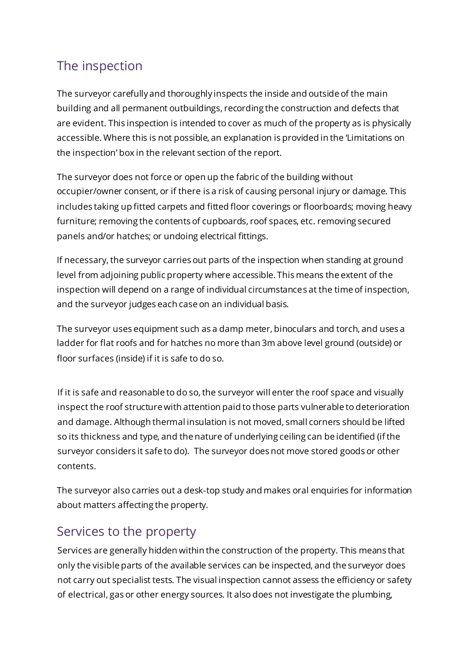# The inspection

The surveyor carefully and thoroughly inspects the inside and outside of the main building and all permanent outbuildings, recording the construction and defects that are evident. This inspection is intended to cover as much of the property as is physically accessible. Where this is not possible, an explanation is provided in the 'Limitations on the inspection' box in the relevant section of the report.

The surveyor does not force or open up the fabric of the building without occupier/owner consent, or if there is a risk of causing personal injury or damage. This includes taking up fitted carpets and fitted floor coverings or floorboards; moving heavy furniture; removing the contents of cupboards, roof spaces, etc. removing secured panels and/or hatches; or undoing electrical fittings.

If necessary, the surveyor carries out parts of the inspection when standing at ground level from adjoining public property where accessible. This means the extent of the inspection will depend on a range of individual circumstances at the time of inspection, and the surveyor judges each case on an individual basis.

The surveyor uses equipment such as a damp meter, binoculars and torch, and uses a ladder for flat roofs and for hatches no more than 3m above level ground (outside) or floor surfaces (inside) if it is safe to do so.

If it is safe and reasonable to do so, the surveyor will enter the roof space and visually inspect the roof structure with attention paid to those parts vulnerable to deterioration and damage. Although thermal insulation is not moved, small corners should be lifted so its thickness and type, and the nature of underlying ceiling can be identified (if the surveyor considers it safe to do). The surveyor does not move stored goods or other contents.

The surveyor also carries out a desk-top study and makes oral enquiries for information about matters affecting the property.

#### Services to the property

Services are generally hidden within the construction of the property. This means that only the visible parts of the available services can be inspected, and the surveyor does not carry out specialist tests. The visual inspection cannot assess the efficiency or safety of electrical, gas or other energy sources. It also does not investigate the plumbing,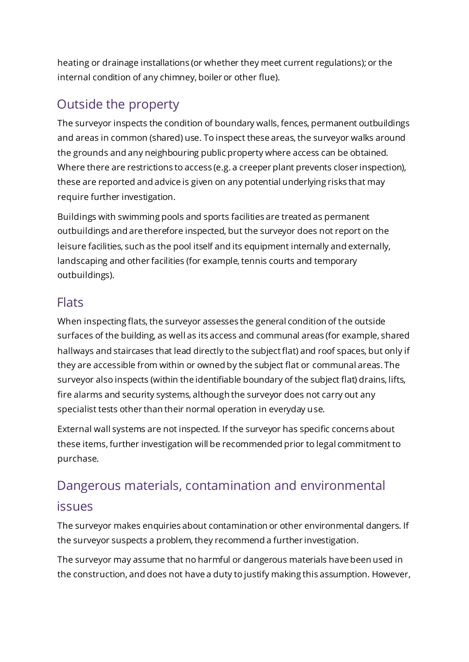heating or drainage installations (or whether they meet current regulations); or the internal condition of any chimney, boiler or other flue).

# Outside the property

The surveyor inspects the condition of boundary walls, fences, permanent outbuildings and areas in common (shared) use. To inspect these areas, the surveyor walks around the grounds and any neighbouring public property where access can be obtained. Where there are restrictions to access (e.g. a creeper plant prevents closer inspection), these are reported and advice is given on any potential underlying risks that may require further investigation.

Buildings with swimming pools and sports facilities are treated as permanent outbuildings and are therefore inspected, but the surveyor does not report on the leisure facilities, such as the pool itself and its equipment internally and externally, landscaping and other facilities (for example, tennis courts and temporary outbuildings).

# **Flats**

When inspecting flats, the surveyor assesses the general condition of the outside surfaces of the building, as well as its access and communal areas (for example, shared hallways and staircases that lead directly to the subject flat) and roof spaces, but only if they are accessible from within or owned by the subject flat or communal areas. The surveyor also inspects (within the identifiable boundary of the subject flat) drains, lifts, fire alarms and security systems, although the surveyor does not carry out any specialist tests other than their normal operation in everyday use.

External wall systems are not inspected. If the surveyor has specific concerns about these items, further investigation will be recommended prior to legal commitment to purchase.

# Dangerous materials, contamination and environmental issues

The surveyor makes enquiries about contamination or other environmental dangers. If the surveyor suspects a problem, they recommend a further investigation.

The surveyor may assume that no harmful or dangerous materials have been used in the construction, and does not have a duty to justify making this assumption. However,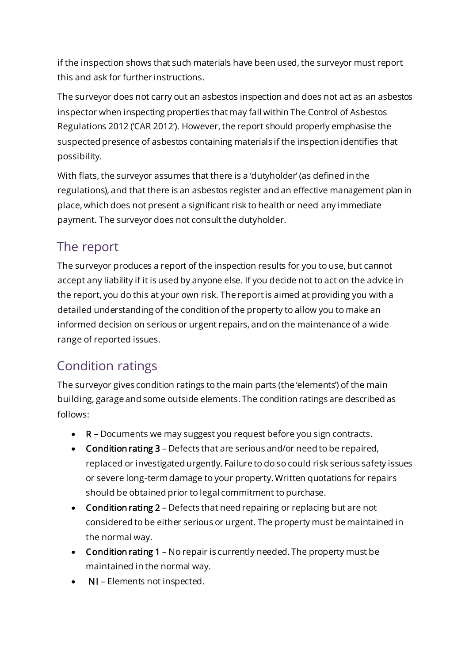if the inspection shows that such materials have been used, the surveyor must report this and ask for further instructions.

The surveyor does not carry out an asbestos inspection and does not act as an asbestos inspector when inspecting properties that may fall within The Control of Asbestos Regulations 2012 ('CAR 2012'). However, the report should properly emphasise the suspected presence of asbestos containing materials if the inspection identifies that possibility.

With flats, the surveyor assumes that there is a 'dutyholder' (as defined in the regulations), and that there is an asbestos register and an effective management plan in place, which does not present a significant risk to health or need any immediate payment. The surveyor does not consult the dutyholder.

#### The report

The surveyor produces a report of the inspection results for you to use, but cannot accept any liability if it is used by anyone else. If you decide not to act on the advice in the report, you do this at your own risk. The report is aimed at providing you with a detailed understanding of the condition of the property to allow you to make an informed decision on serious or urgent repairs, and on the maintenance of a wide range of reported issues.

# Condition ratings

The surveyor gives condition ratings to the main parts (the 'elements') of the main building, garage and some outside elements. The condition ratings are described as follows:

- R Documents we may suggest you request before you sign contracts.
- Condition rating 3 Defects that are serious and/or need to be repaired, replaced or investigated urgently. Failure to do so could risk serious safety issues or severe long-term damage to your property. Written quotations for repairs should be obtained prior to legal commitment to purchase.
- Condition rating 2 Defects that need repairing or replacing but are not considered to be either serious or urgent. The property must be maintained in the normal way.
- Condition rating 1 No repair is currently needed. The property must be maintained in the normal way.
- NI Elements not inspected.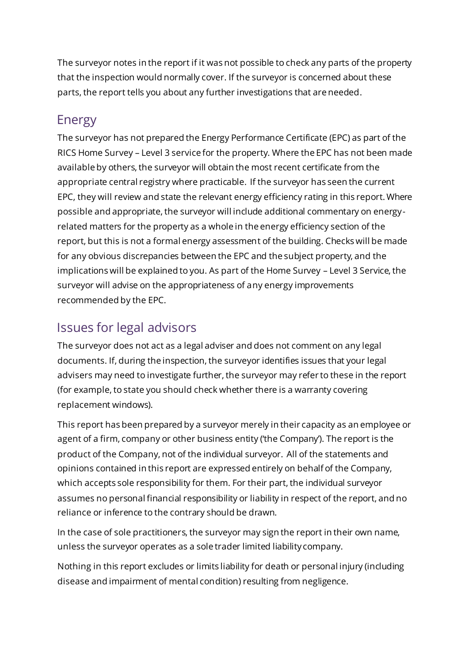The surveyor notes in the report if it was not possible to check any parts of the property that the inspection would normally cover. If the surveyor is concerned about these parts, the report tells you about any further investigations that are needed.

# Energy

The surveyor has not prepared the Energy Performance Certificate (EPC) as part of the RICS Home Survey – Level 3 service for the property. Where the EPC has not been made available by others, the surveyor will obtain the most recent certificate from the appropriate central registry where practicable. If the surveyor has seen the current EPC, they will review and state the relevant energy efficiency rating in this report. Where possible and appropriate, the surveyor will include additional commentary on energyrelated matters for the property as a whole in the energy efficiency section of the report, but this is not a formal energy assessment of the building. Checks will be made for any obvious discrepancies between the EPC and the subject property, and the implications will be explained to you. As part of the Home Survey – Level 3 Service, the surveyor will advise on the appropriateness of any energy improvements recommended by the EPC.

# Issues for legal advisors

The surveyor does not act as a legal adviser and does not comment on any legal documents. If, during the inspection, the surveyor identifies issues that your legal advisers may need to investigate further, the surveyor may refer to these in the report (for example, to state you should check whether there is a warranty covering replacement windows).

This report has been prepared by a surveyor merely in their capacity as an employee or agent of a firm, company or other business entity ('the Company'). The report is the product of the Company, not of the individual surveyor. All of the statements and opinions contained in this report are expressed entirely on behalf of the Company, which accepts sole responsibility for them. For their part, the individual surveyor assumes no personal financial responsibility or liability in respect of the report, and no reliance or inference to the contrary should be drawn.

In the case of sole practitioners, the surveyor may sign the report in their own name, unless the surveyor operates as a sole trader limited liability company.

Nothing in this report excludes or limits liability for death or personal injury (including disease and impairment of mental condition) resulting from negligence.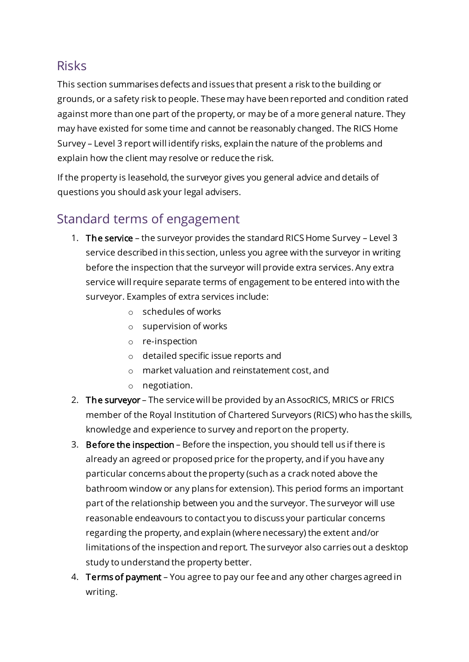#### Risks

This section summarises defects and issues that present a risk to the building or grounds, or a safety risk to people. These may have been reported and condition rated against more than one part of the property, or may be of a more general nature. They may have existed for some time and cannot be reasonably changed. The RICS Home Survey – Level 3 report will identify risks, explain the nature of the problems and explain how the client may resolve or reduce the risk.

If the property is leasehold, the surveyor gives you general advice and details of questions you should ask your legal advisers.

# Standard terms of engagement

- 1. The service the surveyor provides the standard RICS Home Survey Level 3 service described in this section, unless you agree with the surveyor in writing before the inspection that the surveyor will provide extra services. Any extra service will require separate terms of engagement to be entered into with the surveyor. Examples of extra services include:
	- o schedules of works
	- o supervision of works
	- o re-inspection
	- o detailed specific issue reports and
	- o market valuation and reinstatement cost, and
	- o negotiation.
- 2. The surveyor The service will be provided by an AssocRICS, MRICS or FRICS member of the Royal Institution of Chartered Surveyors (RICS) who has the skills, knowledge and experience to survey and report on the property.
- 3. Before the inspection Before the inspection, you should tell us if there is already an agreed or proposed price for the property, and if you have any particular concerns about the property (such as a crack noted above the bathroom window or any plans for extension). This period forms an important part of the relationship between you and the surveyor. The surveyor will use reasonable endeavours to contact you to discuss your particular concerns regarding the property, and explain (where necessary) the extent and/or limitations of the inspection and report. The surveyor also carries out a desktop study to understand the property better.
- 4. Terms of payment You agree to pay our fee and any other charges agreed in writing.